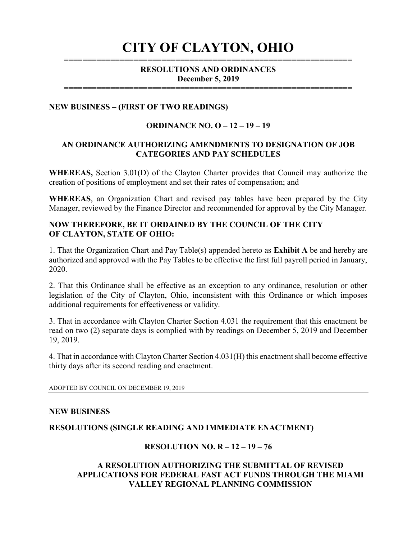# CITY OF CLAYTON, OHIO ==============================================================

## RESOLUTIONS AND ORDINANCES December 5, 2019

==============================================================

#### NEW BUSINESS – (FIRST OF TWO READINGS)

#### ORDINANCE NO. O – 12 – 19 – 19

#### AN ORDINANCE AUTHORIZING AMENDMENTS TO DESIGNATION OF JOB CATEGORIES AND PAY SCHEDULES

WHEREAS, Section 3.01(D) of the Clayton Charter provides that Council may authorize the creation of positions of employment and set their rates of compensation; and

WHEREAS, an Organization Chart and revised pay tables have been prepared by the City Manager, reviewed by the Finance Director and recommended for approval by the City Manager.

## NOW THEREFORE, BE IT ORDAINED BY THE COUNCIL OF THE CITY OF CLAYTON, STATE OF OHIO:

1. That the Organization Chart and Pay Table(s) appended hereto as Exhibit A be and hereby are authorized and approved with the Pay Tables to be effective the first full payroll period in January, 2020.

2. That this Ordinance shall be effective as an exception to any ordinance, resolution or other legislation of the City of Clayton, Ohio, inconsistent with this Ordinance or which imposes additional requirements for effectiveness or validity.

3. That in accordance with Clayton Charter Section 4.031 the requirement that this enactment be read on two (2) separate days is complied with by readings on December 5, 2019 and December 19, 2019.

4. That in accordance with Clayton Charter Section 4.031(H) this enactment shall become effective thirty days after its second reading and enactment.

ADOPTED BY COUNCIL ON DECEMBER 19, 2019

#### NEW BUSINESS

#### RESOLUTIONS (SINGLE READING AND IMMEDIATE ENACTMENT)

#### RESOLUTION NO. R – 12 – 19 – 76

#### A RESOLUTION AUTHORIZING THE SUBMITTAL OF REVISED APPLICATIONS FOR FEDERAL FAST ACT FUNDS THROUGH THE MIAMI VALLEY REGIONAL PLANNING COMMISSION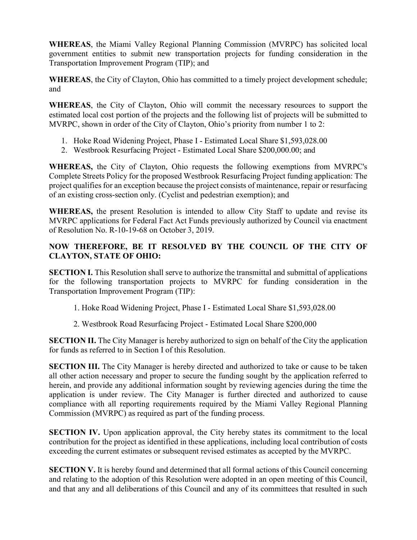WHEREAS, the Miami Valley Regional Planning Commission (MVRPC) has solicited local government entities to submit new transportation projects for funding consideration in the Transportation Improvement Program (TIP); and

WHEREAS, the City of Clayton, Ohio has committed to a timely project development schedule; and

WHEREAS, the City of Clayton, Ohio will commit the necessary resources to support the estimated local cost portion of the projects and the following list of projects will be submitted to MVRPC, shown in order of the City of Clayton, Ohio's priority from number 1 to 2:

- 1. Hoke Road Widening Project, Phase I Estimated Local Share \$1,593,028.00
- 2. Westbrook Resurfacing Project Estimated Local Share \$200,000.00; and

WHEREAS, the City of Clayton, Ohio requests the following exemptions from MVRPC's Complete Streets Policy for the proposed Westbrook Resurfacing Project funding application: The project qualifies for an exception because the project consists of maintenance, repair or resurfacing of an existing cross-section only. (Cyclist and pedestrian exemption); and

WHEREAS, the present Resolution is intended to allow City Staff to update and revise its MVRPC applications for Federal Fact Act Funds previously authorized by Council via enactment of Resolution No. R-10-19-68 on October 3, 2019.

# NOW THEREFORE, BE IT RESOLVED BY THE COUNCIL OF THE CITY OF CLAYTON, STATE OF OHIO:

SECTION I. This Resolution shall serve to authorize the transmittal and submittal of applications for the following transportation projects to MVRPC for funding consideration in the Transportation Improvement Program (TIP):

- 1. Hoke Road Widening Project, Phase I Estimated Local Share \$1,593,028.00
- 2. Westbrook Road Resurfacing Project Estimated Local Share \$200,000

SECTION II. The City Manager is hereby authorized to sign on behalf of the City the application for funds as referred to in Section I of this Resolution.

SECTION III. The City Manager is hereby directed and authorized to take or cause to be taken all other action necessary and proper to secure the funding sought by the application referred to herein, and provide any additional information sought by reviewing agencies during the time the application is under review. The City Manager is further directed and authorized to cause compliance with all reporting requirements required by the Miami Valley Regional Planning Commission (MVRPC) as required as part of the funding process.

SECTION IV. Upon application approval, the City hereby states its commitment to the local contribution for the project as identified in these applications, including local contribution of costs exceeding the current estimates or subsequent revised estimates as accepted by the MVRPC.

SECTION V. It is hereby found and determined that all formal actions of this Council concerning and relating to the adoption of this Resolution were adopted in an open meeting of this Council, and that any and all deliberations of this Council and any of its committees that resulted in such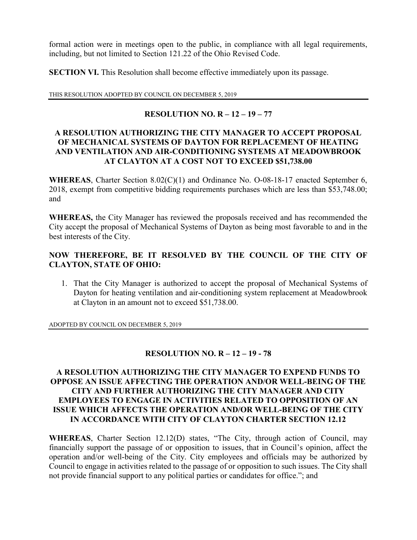formal action were in meetings open to the public, in compliance with all legal requirements, including, but not limited to Section 121.22 of the Ohio Revised Code.

SECTION VI. This Resolution shall become effective immediately upon its passage.

THIS RESOLUTION ADOPTED BY COUNCIL ON DECEMBER 5, 2019

## RESOLUTION NO.  $R - 12 - 19 - 77$

## A RESOLUTION AUTHORIZING THE CITY MANAGER TO ACCEPT PROPOSAL OF MECHANICAL SYSTEMS OF DAYTON FOR REPLACEMENT OF HEATING AND VENTILATION AND AIR-CONDITIONING SYSTEMS AT MEADOWBROOK AT CLAYTON AT A COST NOT TO EXCEED \$51,738.00

WHEREAS, Charter Section 8.02(C)(1) and Ordinance No. O-08-18-17 enacted September 6, 2018, exempt from competitive bidding requirements purchases which are less than \$53,748.00; and

WHEREAS, the City Manager has reviewed the proposals received and has recommended the City accept the proposal of Mechanical Systems of Dayton as being most favorable to and in the best interests of the City.

# NOW THEREFORE, BE IT RESOLVED BY THE COUNCIL OF THE CITY OF CLAYTON, STATE OF OHIO:

1. That the City Manager is authorized to accept the proposal of Mechanical Systems of Dayton for heating ventilation and air-conditioning system replacement at Meadowbrook at Clayton in an amount not to exceed \$51,738.00.

ADOPTED BY COUNCIL ON DECEMBER 5, 2019

#### RESOLUTION NO. R – 12 – 19 - 78

## A RESOLUTION AUTHORIZING THE CITY MANAGER TO EXPEND FUNDS TO OPPOSE AN ISSUE AFFECTING THE OPERATION AND/OR WELL-BEING OF THE CITY AND FURTHER AUTHORIZING THE CITY MANAGER AND CITY EMPLOYEES TO ENGAGE IN ACTIVITIES RELATED TO OPPOSITION OF AN ISSUE WHICH AFFECTS THE OPERATION AND/OR WELL-BEING OF THE CITY IN ACCORDANCE WITH CITY OF CLAYTON CHARTER SECTION 12.12

WHEREAS, Charter Section 12.12(D) states, "The City, through action of Council, may financially support the passage of or opposition to issues, that in Council's opinion, affect the operation and/or well-being of the City. City employees and officials may be authorized by Council to engage in activities related to the passage of or opposition to such issues. The City shall not provide financial support to any political parties or candidates for office."; and